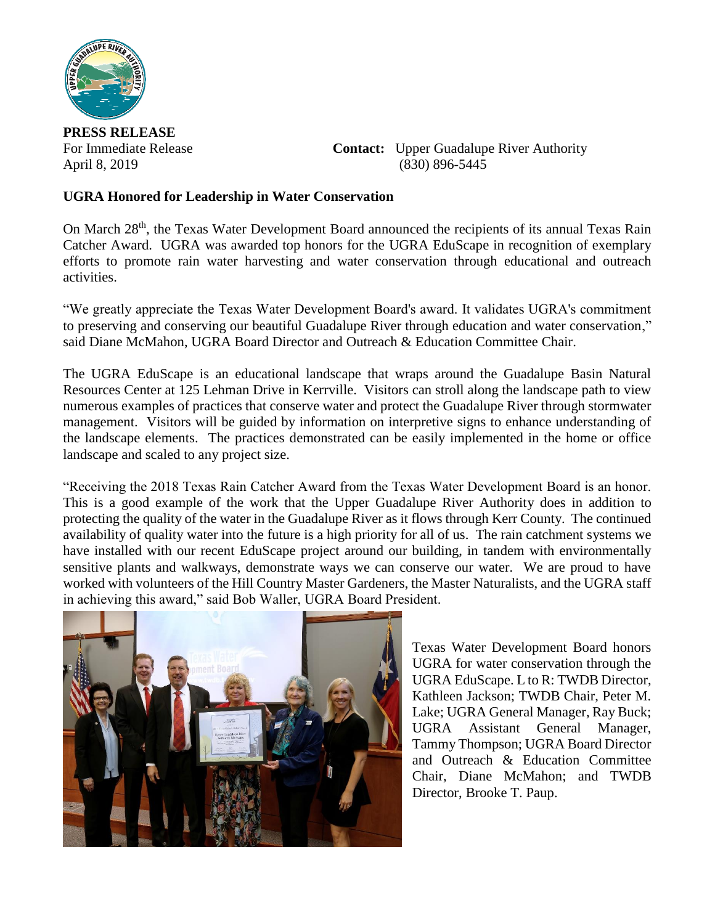

**PRESS RELEASE**

For Immediate Release **Contact:** Upper Guadalupe River Authority April 8, 2019 (830) 896-5445

## **UGRA Honored for Leadership in Water Conservation**

On March 28<sup>th</sup>, the Texas Water Development Board announced the recipients of its annual Texas Rain Catcher Award. UGRA was awarded top honors for the UGRA EduScape in recognition of exemplary efforts to promote rain water harvesting and water conservation through educational and outreach activities.

"We greatly appreciate the Texas Water Development Board's award. It validates UGRA's commitment to preserving and conserving our beautiful Guadalupe River through education and water conservation," said Diane McMahon, UGRA Board Director and Outreach & Education Committee Chair.

The UGRA EduScape is an educational landscape that wraps around the Guadalupe Basin Natural Resources Center at 125 Lehman Drive in Kerrville. Visitors can stroll along the landscape path to view numerous examples of practices that conserve water and protect the Guadalupe River through stormwater management. Visitors will be guided by information on interpretive signs to enhance understanding of the landscape elements. The practices demonstrated can be easily implemented in the home or office landscape and scaled to any project size.

"Receiving the 2018 Texas Rain Catcher Award from the Texas Water Development Board is an honor. This is a good example of the work that the Upper Guadalupe River Authority does in addition to protecting the quality of the water in the Guadalupe River as it flows through Kerr County. The continued availability of quality water into the future is a high priority for all of us. The rain catchment systems we have installed with our recent EduScape project around our building, in tandem with environmentally sensitive plants and walkways, demonstrate ways we can conserve our water. We are proud to have worked with volunteers of the Hill Country Master Gardeners, the Master Naturalists, and the UGRA staff in achieving this award," said Bob Waller, UGRA Board President.



Texas Water Development Board honors UGRA for water conservation through the UGRA EduScape. L to R: TWDB Director, Kathleen Jackson; TWDB Chair, Peter M. Lake; UGRA General Manager, Ray Buck; UGRA Assistant General Manager, Tammy Thompson; UGRA Board Director and Outreach & Education Committee Chair, Diane McMahon; and TWDB Director, Brooke T. Paup.